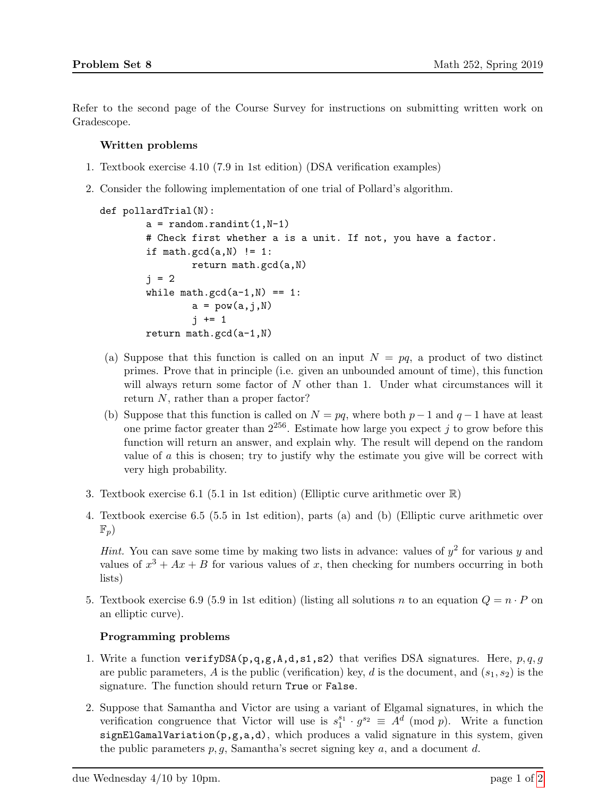Refer to the second page of the Course Survey for instructions on submitting written work on Gradescope.

## Written problems

- 1. Textbook exercise 4.10 (7.9 in 1st edition) (DSA verification examples)
- 2. Consider the following implementation of one trial of Pollard's algorithm.

```
def pollardTrial(N):
a = random.random(1, N-1)# Check first whether a is a unit. If not, you have a factor.
if math.gcd(a, N) != 1:
        return math.gcd(a,N)
j = 2while math.gcd(a-1,N) == 1:
        a = pow(a, j, N)j += 1
return math.gcd(a-1,N)
```
- (a) Suppose that this function is called on an input  $N = pq$ , a product of two distinct primes. Prove that in principle (i.e. given an unbounded amount of time), this function will always return some factor of N other than 1. Under what circumstances will it return N, rather than a proper factor?
- (b) Suppose that this function is called on  $N = pq$ , where both  $p-1$  and  $q-1$  have at least one prime factor greater than  $2^{256}$ . Estimate how large you expect j to grow before this function will return an answer, and explain why. The result will depend on the random value of  $\alpha$  this is chosen; try to justify why the estimate you give will be correct with very high probability.
- 3. Textbook exercise 6.1 (5.1 in 1st edition) (Elliptic curve arithmetic over  $\mathbb{R}$ )
- 4. Textbook exercise 6.5 (5.5 in 1st edition), parts (a) and (b) (Elliptic curve arithmetic over  $\mathbb{F}_p$

*Hint.* You can save some time by making two lists in advance: values of  $y^2$  for various y and values of  $x^3 + Ax + B$  for various values of x, then checking for numbers occurring in both lists)

5. Textbook exercise 6.9 (5.9 in 1st edition) (listing all solutions n to an equation  $Q = n \cdot P$  on an elliptic curve).

## Programming problems

- 1. Write a function verifyDSA( $p,q,g,A,d,s1,s2$ ) that verifies DSA signatures. Here,  $p,q,g$ are public parameters, A is the public (verification) key, d is the document, and  $(s_1, s_2)$  is the signature. The function should return True or False.
- 2. Suppose that Samantha and Victor are using a variant of Elgamal signatures, in which the verification congruence that Victor will use is  $s_1^{s_1} \cdot g^{s_2} \equiv A^d \pmod{p}$ . Write a function signElGamalVariation(p,g,a,d), which produces a valid signature in this system, given the public parameters  $p, g$ , Samantha's secret signing key  $a$ , and a document  $d$ .